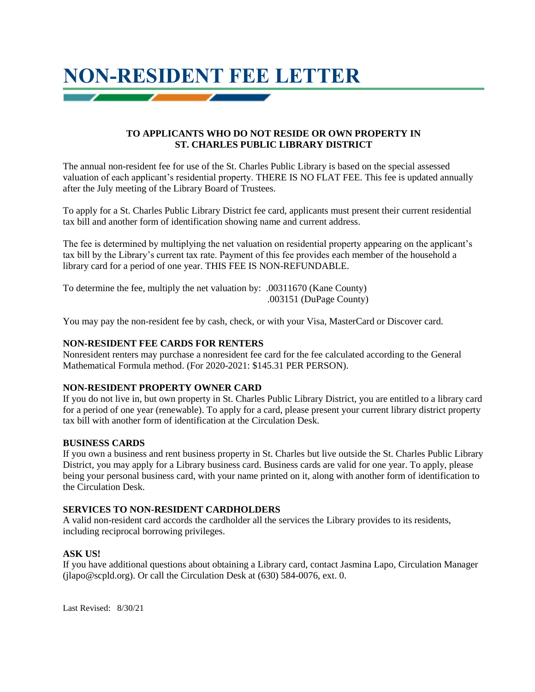# **NON-RESIDENT FEE LETTER**

## **TO APPLICANTS WHO DO NOT RESIDE OR OWN PROPERTY IN ST. CHARLES PUBLIC LIBRARY DISTRICT**

The annual non-resident fee for use of the St. Charles Public Library is based on the special assessed valuation of each applicant's residential property. THERE IS NO FLAT FEE. This fee is updated annually after the July meeting of the Library Board of Trustees.

To apply for a St. Charles Public Library District fee card, applicants must present their current residential tax bill and another form of identification showing name and current address.

The fee is determined by multiplying the net valuation on residential property appearing on the applicant's tax bill by the Library's current tax rate. Payment of this fee provides each member of the household a library card for a period of one year. THIS FEE IS NON-REFUNDABLE.

To determine the fee, multiply the net valuation by: .00311670 (Kane County) .003151 (DuPage County)

You may pay the non-resident fee by cash, check, or with your Visa, MasterCard or Discover card.

## **NON-RESIDENT FEE CARDS FOR RENTERS**

Nonresident renters may purchase a nonresident fee card for the fee calculated according to the General Mathematical Formula method. (For 2020-2021: \$145.31 PER PERSON).

## **NON-RESIDENT PROPERTY OWNER CARD**

If you do not live in, but own property in St. Charles Public Library District, you are entitled to a library card for a period of one year (renewable). To apply for a card, please present your current library district property tax bill with another form of identification at the Circulation Desk.

## **BUSINESS CARDS**

If you own a business and rent business property in St. Charles but live outside the St. Charles Public Library District, you may apply for a Library business card. Business cards are valid for one year. To apply, please being your personal business card, with your name printed on it, along with another form of identification to the Circulation Desk.

# **SERVICES TO NON-RESIDENT CARDHOLDERS**

A valid non-resident card accords the cardholder all the services the Library provides to its residents, including reciprocal borrowing privileges.

## **ASK US!**

If you have additional questions about obtaining a Library card, contact Jasmina Lapo, Circulation Manager (jlapo@scpld.org). Or call the Circulation Desk at (630) 584-0076, ext. 0.

Last Revised: 8/30/21